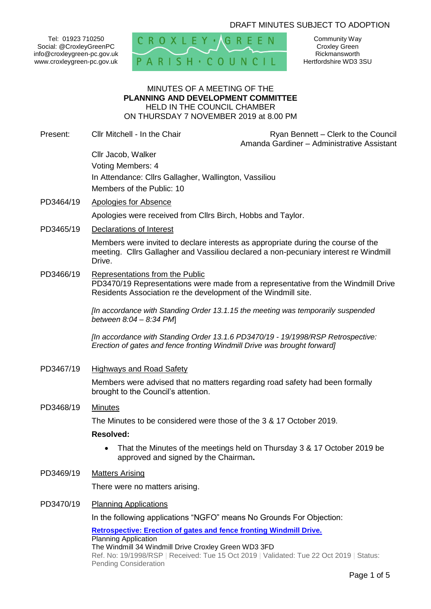### DRAFT MINUTES SUBJECT TO ADOPTION

Tel: 01923 710250 Social: @CroxleyGreenPC info@croxleygreen-pc.gov.uk www.croxleygreen-pc.gov.uk



Community Way Croxley Green Rickmansworth Hertfordshire WD3 3SU

#### MINUTES OF A MEETING OF THE **PLANNING AND DEVELOPMENT COMMITTEE** HELD IN THE COUNCIL CHAMBER ON THURSDAY 7 NOVEMBER 2019 at 8.00 PM

Present: Cllr Mitchell - In the Chair **Ryan Bennett – Clerk to the Council** Amanda Gardiner – Administrative Assistant

## Cllr Jacob, Walker Voting Members: 4 In Attendance: Cllrs Gallagher, Wallington, Vassiliou Members of the Public: 10

PD3464/19 Apologies for Absence

Apologies were received from Cllrs Birch, Hobbs and Taylor.

PD3465/19 Declarations of Interest

Members were invited to declare interests as appropriate during the course of the meeting. Cllrs Gallagher and Vassiliou declared a non-pecuniary interest re Windmill Drive.

PD3466/19 Representations from the Public

PD3470/19 Representations were made from a representative from the Windmill Drive Residents Association re the development of the Windmill site.

*[In accordance with Standing Order 13.1.15 the meeting was temporarily suspended between 8:04 – 8:34 PM*]

*[In accordance with Standing Order 13.1.6 PD3470/19 - 19/1998/RSP Retrospective: Erection of gates and fence fronting Windmill Drive was brought forward]*

PD3467/19 Highways and Road Safety

Members were advised that no matters regarding road safety had been formally brought to the Council's attention.

PD3468/19 Minutes

The Minutes to be considered were those of the 3 & 17 October 2019.

#### **Resolved:**

- That the Minutes of the meetings held on Thursday 3 & 17 October 2019 be approved and signed by the Chairman**.**
- PD3469/19 Matters Arising

There were no matters arising.

#### PD3470/19 Planning Applications

In the following applications "NGFO" means No Grounds For Objection:

**[Retrospective: Erection of gates and fence fronting Windmill Drive.](https://www3.threerivers.gov.uk/online-applications/applicationDetails.do?activeTab=summary&keyVal=PZEM6BQFGZE00&prevPage=inTray)** Planning Application The Windmill 34 Windmill Drive Croxley Green WD3 3FD Ref. No: 19/1998/RSP | Received: Tue 15 Oct 2019 | Validated: Tue 22 Oct 2019 | Status: Pending Consideration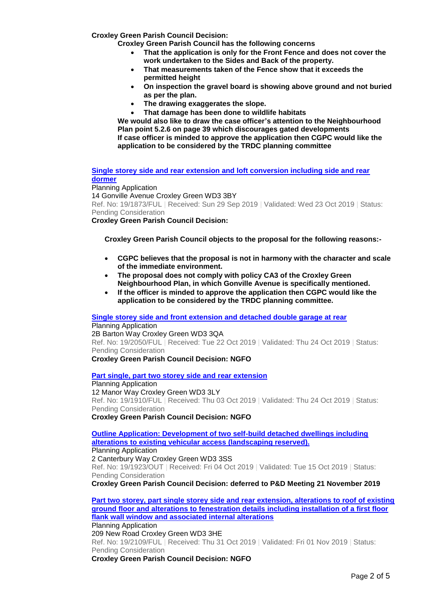**Croxley Green Parish Council Decision:** 

**Croxley Green Parish Council has the following concerns**

- **That the application is only for the Front Fence and does not cover the work undertaken to the Sides and Back of the property.**
- **That measurements taken of the Fence show that it exceeds the permitted height**
- **On inspection the gravel board is showing above ground and not buried as per the plan.**
- **The drawing exaggerates the slope.**
- **That damage has been done to wildlife habitats**

**We would also like to draw the case officer's attention to the Neighbourhood Plan point 5.2.6 on page 39 which discourages gated developments If case officer is minded to approve the application then CGPC would like the application to be considered by the TRDC planning committee**

**[Single storey side and rear extension and loft conversion including side and rear](https://www3.threerivers.gov.uk/online-applications/applicationDetails.do?activeTab=summary&keyVal=PYKZHLQFGTK00&prevPage=inTray)  [dormer](https://www3.threerivers.gov.uk/online-applications/applicationDetails.do?activeTab=summary&keyVal=PYKZHLQFGTK00&prevPage=inTray)**

Planning Application 14 Gonville Avenue Croxley Green WD3 3BY Ref. No: 19/1873/FUL | Received: Sun 29 Sep 2019 | Validated: Wed 23 Oct 2019 | Status: Pending Consideration

**Croxley Green Parish Council Decision:**

**Croxley Green Parish Council objects to the proposal for the following reasons:-**

- **CGPC believes that the proposal is not in harmony with the character and scale of the immediate environment.**
- **The proposal does not comply with policy CA3 of the Croxley Green Neighbourhood Plan, in which Gonville Avenue is specifically mentioned.**
- **If the officer is minded to approve the application then CGPC would like the application to be considered by the TRDC planning committee.**

**[Single storey side and front extension and detached double garage at rear](https://www3.threerivers.gov.uk/online-applications/applicationDetails.do?activeTab=summary&keyVal=PZRKV8QFH1W00&prevPage=inTray)** Planning Application

2B Barton Way Croxley Green WD3 3QA Ref. No: 19/2050/FUL | Received: Tue 22 Oct 2019 | Validated: Thu 24 Oct 2019 | Status: Pending Consideration **Croxley Green Parish Council Decision: NGFO**

**[Part single, part two storey side and rear extension](https://www3.threerivers.gov.uk/online-applications/applicationDetails.do?activeTab=summary&keyVal=PYSE8AQFGVD00&prevPage=inTray)**

Planning Application 12 Manor Way Croxley Green WD3 3LY Ref. No: 19/1910/FUL | Received: Thu 03 Oct 2019 | Validated: Thu 24 Oct 2019 | Status: Pending Consideration **Croxley Green Parish Council Decision: NGFO**

**[Outline Application: Development of two self-build detached dwellings including](https://www3.threerivers.gov.uk/online-applications/applicationDetails.do?activeTab=summary&keyVal=PYU8YHQFGW000&prevPage=inTray)  [alterations to existing vehicular access \(landscaping reserved\).](https://www3.threerivers.gov.uk/online-applications/applicationDetails.do?activeTab=summary&keyVal=PYU8YHQFGW000&prevPage=inTray)** Planning Application 2 Canterbury Way Croxley Green WD3 3SS Ref. No: 19/1923/OUT | Received: Fri 04 Oct 2019 | Validated: Tue 15 Oct 2019 | Status: Pending Consideration

**Croxley Green Parish Council Decision: deferred to P&D Meeting 21 November 2019**

**[Part two storey, part single storey side and rear extension, alterations to roof of existing](https://www3.threerivers.gov.uk/online-applications/applicationDetails.do?activeTab=summary&keyVal=Q08BMAQFH4W00&prevPage=inTray)  [ground floor and alterations to fenestration details including installation of a first floor](https://www3.threerivers.gov.uk/online-applications/applicationDetails.do?activeTab=summary&keyVal=Q08BMAQFH4W00&prevPage=inTray)  [flank wall window and associated internal alterations](https://www3.threerivers.gov.uk/online-applications/applicationDetails.do?activeTab=summary&keyVal=Q08BMAQFH4W00&prevPage=inTray)** Planning Application 209 New Road Croxley Green WD3 3HE Ref. No: 19/2109/FUL | Received: Thu 31 Oct 2019 | Validated: Fri 01 Nov 2019 | Status: Pending Consideration **Croxley Green Parish Council Decision: NGFO**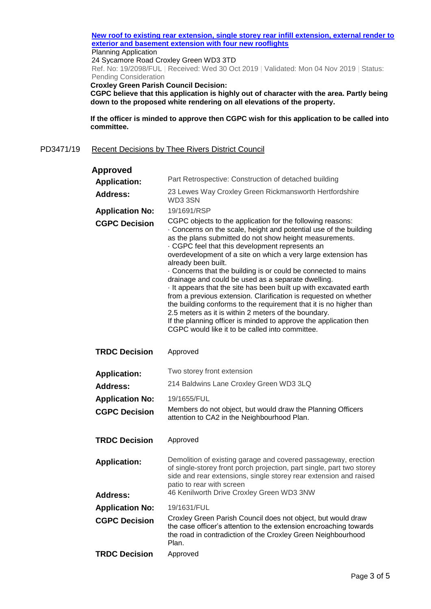#### **[New roof to existing rear extension, single storey rear infill extension, external render to](https://www3.threerivers.gov.uk/online-applications/applicationDetails.do?activeTab=summary&keyVal=Q06GW8QFH4A00&prevPage=inTray)  [exterior and basement extension with four new rooflights](https://www3.threerivers.gov.uk/online-applications/applicationDetails.do?activeTab=summary&keyVal=Q06GW8QFH4A00&prevPage=inTray)**

Planning Application

24 Sycamore Road Croxley Green WD3 3TD

Ref. No: 19/2098/FUL | Received: Wed 30 Oct 2019 | Validated: Mon 04 Nov 2019 | Status: Pending Consideration

**Croxley Green Parish Council Decision:**

**CGPC believe that this application is highly out of character with the area. Partly being down to the proposed white rendering on all elevations of the property.**

**If the officer is minded to approve then CGPC wish for this application to be called into committee.**

#### PD3471/19 Recent Decisions by Thee Rivers District Council

| Approved                               |                                                                                                                                                                                                                                                                                                                                                                                                                                                                                                                                                                                                                                                                                                                                                                                                                                                        |
|----------------------------------------|--------------------------------------------------------------------------------------------------------------------------------------------------------------------------------------------------------------------------------------------------------------------------------------------------------------------------------------------------------------------------------------------------------------------------------------------------------------------------------------------------------------------------------------------------------------------------------------------------------------------------------------------------------------------------------------------------------------------------------------------------------------------------------------------------------------------------------------------------------|
| <b>Application:</b>                    | Part Retrospective: Construction of detached building                                                                                                                                                                                                                                                                                                                                                                                                                                                                                                                                                                                                                                                                                                                                                                                                  |
| <b>Address:</b>                        | 23 Lewes Way Croxley Green Rickmansworth Hertfordshire<br>WD33SN                                                                                                                                                                                                                                                                                                                                                                                                                                                                                                                                                                                                                                                                                                                                                                                       |
| <b>Application No:</b>                 | 19/1691/RSP                                                                                                                                                                                                                                                                                                                                                                                                                                                                                                                                                                                                                                                                                                                                                                                                                                            |
| <b>CGPC Decision</b>                   | CGPC objects to the application for the following reasons:<br>. Concerns on the scale, height and potential use of the building<br>as the plans submitted do not show height measurements.<br>CGPC feel that this development represents an<br>overdevelopment of a site on which a very large extension has<br>already been built.<br>Concerns that the building is or could be connected to mains<br>drainage and could be used as a separate dwelling.<br>It appears that the site has been built up with excavated earth<br>from a previous extension. Clarification is requested on whether<br>the building conforms to the requirement that it is no higher than<br>2.5 meters as it is within 2 meters of the boundary.<br>If the planning officer is minded to approve the application then<br>CGPC would like it to be called into committee. |
| <b>TRDC Decision</b>                   | Approved                                                                                                                                                                                                                                                                                                                                                                                                                                                                                                                                                                                                                                                                                                                                                                                                                                               |
| <b>Application:</b>                    | Two storey front extension                                                                                                                                                                                                                                                                                                                                                                                                                                                                                                                                                                                                                                                                                                                                                                                                                             |
| <b>Address:</b>                        | 214 Baldwins Lane Croxley Green WD3 3LQ                                                                                                                                                                                                                                                                                                                                                                                                                                                                                                                                                                                                                                                                                                                                                                                                                |
| <b>Application No:</b>                 | 19/1655/FUL                                                                                                                                                                                                                                                                                                                                                                                                                                                                                                                                                                                                                                                                                                                                                                                                                                            |
| <b>CGPC Decision</b>                   | Members do not object, but would draw the Planning Officers<br>attention to CA2 in the Neighbourhood Plan.                                                                                                                                                                                                                                                                                                                                                                                                                                                                                                                                                                                                                                                                                                                                             |
| <b>TRDC Decision</b>                   | Approved                                                                                                                                                                                                                                                                                                                                                                                                                                                                                                                                                                                                                                                                                                                                                                                                                                               |
| <b>Application:</b><br><b>Address:</b> | Demolition of existing garage and covered passageway, erection<br>of single-storey front porch projection, part single, part two storey<br>side and rear extensions, single storey rear extension and raised<br>patio to rear with screen<br>46 Kenilworth Drive Croxley Green WD3 3NW                                                                                                                                                                                                                                                                                                                                                                                                                                                                                                                                                                 |
|                                        |                                                                                                                                                                                                                                                                                                                                                                                                                                                                                                                                                                                                                                                                                                                                                                                                                                                        |
| <b>Application No:</b>                 | 19/1631/FUL<br>Croxley Green Parish Council does not object, but would draw                                                                                                                                                                                                                                                                                                                                                                                                                                                                                                                                                                                                                                                                                                                                                                            |
| <b>CGPC Decision</b>                   | the case officer's attention to the extension encroaching towards<br>the road in contradiction of the Croxley Green Neighbourhood<br>Plan.                                                                                                                                                                                                                                                                                                                                                                                                                                                                                                                                                                                                                                                                                                             |
| <b>TRDC Decision</b>                   | Approved                                                                                                                                                                                                                                                                                                                                                                                                                                                                                                                                                                                                                                                                                                                                                                                                                                               |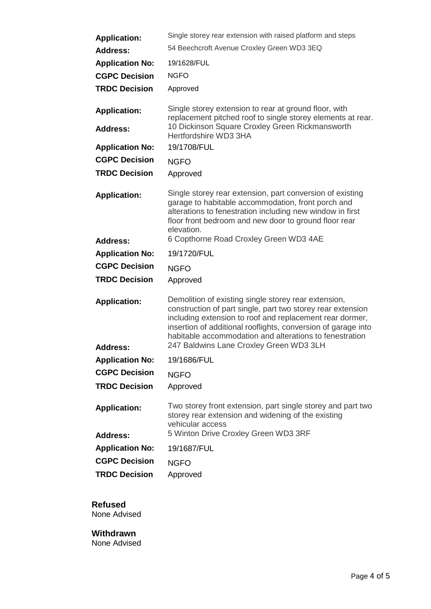| <b>Application:</b>                    | Single storey rear extension with raised platform and steps                                                                                                                                                                                                                                                 |
|----------------------------------------|-------------------------------------------------------------------------------------------------------------------------------------------------------------------------------------------------------------------------------------------------------------------------------------------------------------|
| <b>Address:</b>                        | 54 Beechcroft Avenue Croxley Green WD3 3EQ                                                                                                                                                                                                                                                                  |
| <b>Application No:</b>                 | 19/1628/FUL                                                                                                                                                                                                                                                                                                 |
| <b>CGPC Decision</b>                   | <b>NGFO</b>                                                                                                                                                                                                                                                                                                 |
| <b>TRDC Decision</b>                   | Approved                                                                                                                                                                                                                                                                                                    |
| <b>Application:</b><br><b>Address:</b> | Single storey extension to rear at ground floor, with<br>replacement pitched roof to single storey elements at rear.<br>10 Dickinson Square Croxley Green Rickmansworth                                                                                                                                     |
| <b>Application No:</b>                 | Hertfordshire WD3 3HA<br>19/1708/FUL                                                                                                                                                                                                                                                                        |
| <b>CGPC Decision</b>                   | <b>NGFO</b>                                                                                                                                                                                                                                                                                                 |
| <b>TRDC Decision</b>                   | Approved                                                                                                                                                                                                                                                                                                    |
| <b>Application:</b>                    | Single storey rear extension, part conversion of existing<br>garage to habitable accommodation, front porch and<br>alterations to fenestration including new window in first<br>floor front bedroom and new door to ground floor rear<br>elevation.                                                         |
| <b>Address:</b>                        | 6 Copthorne Road Croxley Green WD3 4AE                                                                                                                                                                                                                                                                      |
| <b>Application No:</b>                 | 19/1720/FUL                                                                                                                                                                                                                                                                                                 |
| <b>CGPC Decision</b>                   | <b>NGFO</b>                                                                                                                                                                                                                                                                                                 |
| <b>TRDC Decision</b>                   | Approved                                                                                                                                                                                                                                                                                                    |
| <b>Application:</b>                    | Demolition of existing single storey rear extension,<br>construction of part single, part two storey rear extension<br>including extension to roof and replacement rear dormer,<br>insertion of additional rooflights, conversion of garage into<br>habitable accommodation and alterations to fenestration |
| <b>Address:</b>                        | 247 Baldwins Lane Croxley Green WD3 3LH                                                                                                                                                                                                                                                                     |
| <b>Application No:</b>                 | 19/1686/FUL                                                                                                                                                                                                                                                                                                 |
| <b>CGPC Decision</b>                   | <b>NGFO</b>                                                                                                                                                                                                                                                                                                 |
| <b>TRDC Decision</b>                   | Approved                                                                                                                                                                                                                                                                                                    |
| <b>Application:</b>                    | Two storey front extension, part single storey and part two<br>storey rear extension and widening of the existing<br>vehicular access                                                                                                                                                                       |
| <b>Address:</b>                        | 5 Winton Drive Croxley Green WD3 3RF                                                                                                                                                                                                                                                                        |
| <b>Application No:</b>                 | 19/1687/FUL                                                                                                                                                                                                                                                                                                 |
| <b>CGPC Decision</b>                   | <b>NGFO</b>                                                                                                                                                                                                                                                                                                 |
| <b>TRDC Decision</b>                   | Approved                                                                                                                                                                                                                                                                                                    |

# **Refused**

None Advised

#### **Withdrawn** None Advised